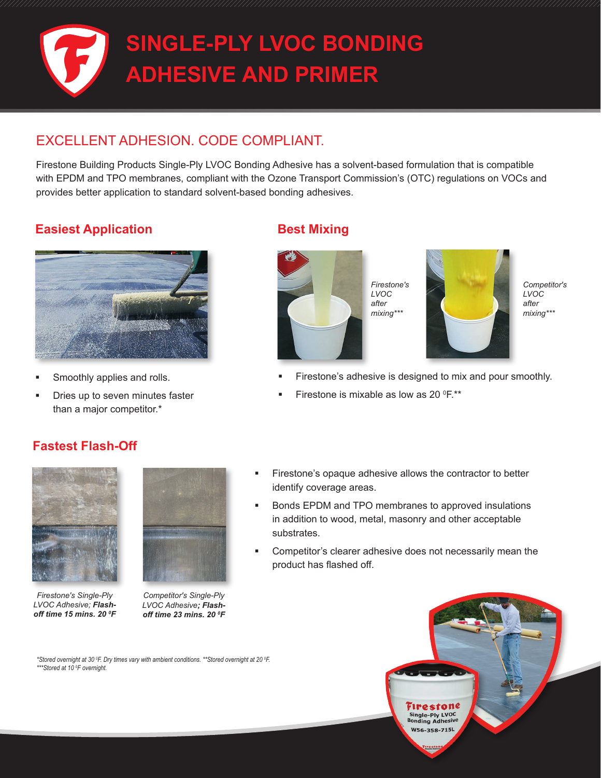

## EXCELLENT ADHESION. CODE COMPLIANT.

Firestone Building Products Single-Ply LVOC Bonding Adhesive has a solvent-based formulation that is compatible with EPDM and TPO membranes, compliant with the Ozone Transport Commission's (OTC) regulations on VOCs and provides better application to standard solvent-based bonding adhesives.

## **Easiest Application Best Mixing**



- Smoothly applies and rolls.
- Dries up to seven minutes faster than a major competitor.\*



*Firestone's LVOC after mixing\*\*\**



*Competitor's LVOC after mixing\*\*\**

- Firestone's adhesive is designed to mix and pour smoothly.
- Firestone is mixable as low as 20  $^{\circ}$ F.\*\*

### **Fastest Flash-Off**



*Firestone's Single-Ply LVOC Adhesive; Flashoff time 15 mins. 20 0 F*



*Competitor's Single-Ply LVOC Adhesive; Flashoff time 23 mins. 20 0 F* 

- Firestone's opaque adhesive allows the contractor to better identify coverage areas.
- Bonds EPDM and TPO membranes to approved insulations in addition to wood, metal, masonry and other acceptable substrates.
- Competitor's clearer adhesive does not necessarily mean the product has flashed off.

Firestone Single-Ply LVOC<br>Bonding Adhesive W56-358-715L **IFC STOP**